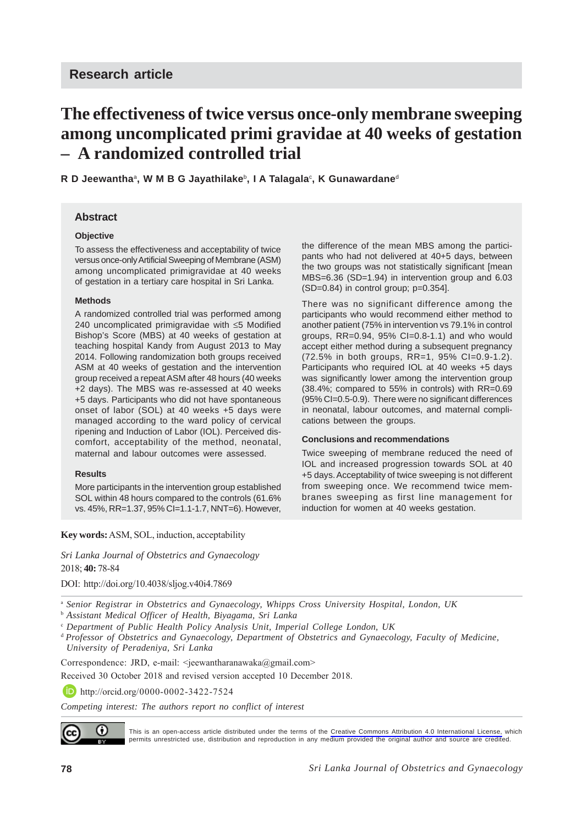# **The effectiveness of twice versus once-only membrane sweeping among uncomplicated primi gravidae at 40 weeks of gestation – A randomized controlled trial**

**R D Jeewantha**a**, W M B G Jayathilake**b**, I A Talagala**<sup>c</sup> **, K Gunawardane**<sup>d</sup>

## **Abstract**

### **Objective**

To assess the effectiveness and acceptability of twice versus once-only Artificial Sweeping of Membrane (ASM) among uncomplicated primigravidae at 40 weeks of gestation in a tertiary care hospital in Sri Lanka.

### **Methods**

A randomized controlled trial was performed among 240 uncomplicated primigravidae with ≤5 Modified Bishop's Score (MBS) at 40 weeks of gestation at teaching hospital Kandy from August 2013 to May 2014. Following randomization both groups received ASM at 40 weeks of gestation and the intervention group received a repeat ASM after 48 hours (40 weeks +2 days). The MBS was re-assessed at 40 weeks +5 days. Participants who did not have spontaneous onset of labor (SOL) at 40 weeks +5 days were managed according to the ward policy of cervical ripening and Induction of Labor (IOL). Perceived discomfort, acceptability of the method, neonatal, maternal and labour outcomes were assessed.

#### **Results**

More participants in the intervention group established SOL within 48 hours compared to the controls (61.6% vs. 45%, RR=1.37, 95% CI=1.1-1.7, NNT=6). However, the difference of the mean MBS among the participants who had not delivered at 40+5 days, between the two groups was not statistically significant [mean MBS=6.36 (SD=1.94) in intervention group and 6.03  $(SD=0.84)$  in control group;  $p=0.354$ ].

There was no significant difference among the participants who would recommend either method to another patient (75% in intervention vs 79.1% in control groups, RR=0.94, 95% CI=0.8-1.1) and who would accept either method during a subsequent pregnancy (72.5% in both groups, RR=1, 95% CI=0.9-1.2). Participants who required IOL at 40 weeks +5 days was significantly lower among the intervention group (38.4%; compared to 55% in controls) with RR=0.69 (95% CI=0.5-0.9). There were no significant differences in neonatal, labour outcomes, and maternal complications between the groups.

#### **Conclusions and recommendations**

Twice sweeping of membrane reduced the need of IOL and increased progression towards SOL at 40 +5 days. Acceptability of twice sweeping is not different from sweeping once. We recommend twice membranes sweeping as first line management for induction for women at 40 weeks gestation.

**Key words:** ASM, SOL, induction, acceptability

*Sri Lanka Journal of Obstetrics and Gynaecology* 2018; **40:** 78-84

DOI: http://doi.org/10.4038/sljog.v40i4.7869

- <sup>a</sup> *Senior Registrar in Obstetrics and Gynaecology, Whipps Cross University Hospital, London, UK*
- <sup>b</sup> *Assistant Medical Officer of Health, Biyagama, Sri Lanka*
- <sup>c</sup> *Department of Public Health Policy Analysis Unit, Imperial College London, UK*
- <sup>d</sup>*Professor of Obstetrics and Gynaecology, Department of Obstetrics and Gynaecology, Faculty of Medicine, University of Peradeniya, Sri Lanka*

Correspondence: JRD, e-mail: <jeewantharanawaka@gmail.com>

Received 30 October 2018 and revised version accepted 10 December 2018.

**http://orcid.org/0000-0002-3422-7524** 

*Competing interest: The authors report no conflict of interest*



This is an open-access article distributed under the terms of the [Creative Commons Attribution 4.0 International License,](https://creativecommons.org/licenses/by/4.0/) which permits unrestricted use, distribution and reproduction in any medium provided the original author and source are credited.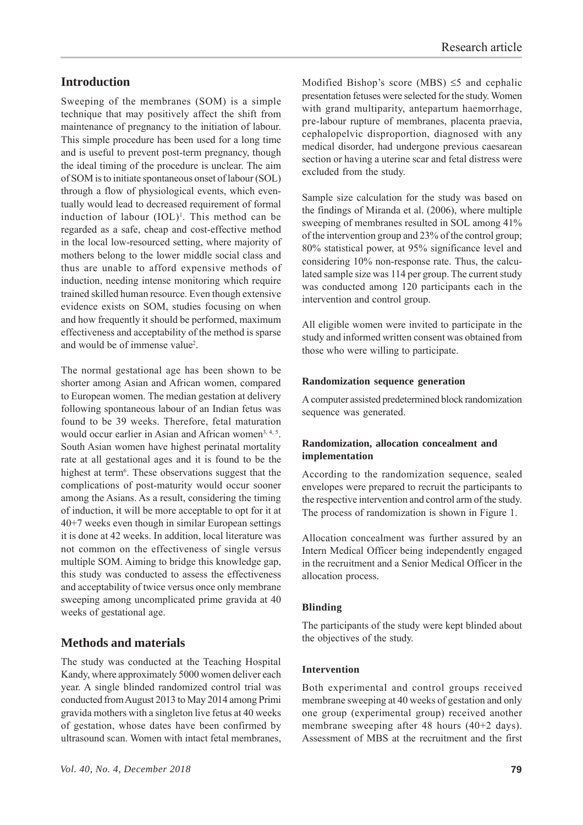# **Introduction**

Sweeping of the membranes (SOM) is a simple technique that may positively affect the shift from maintenance of pregnancy to the initiation of labour. This simple procedure has been used for a long time and is useful to prevent post-term pregnancy, though the ideal timing of the procedure is unclear. The aim of SOM is to initiate spontaneous onset of labour (SOL) through a flow of physiological events, which eventually would lead to decreased requirement of formal induction of labour (IOL)<sup>1</sup>. This method can be regarded as a safe, cheap and cost-effective method in the local low-resourced setting, where majority of mothers belong to the lower middle social class and thus are unable to afford expensive methods of induction, needing intense monitoring which require trained skilled human resource. Even though extensive evidence exists on SOM, studies focusing on when and how frequently it should be performed, maximum effectiveness and acceptability of the method is sparse and would be of immense value<sup>2</sup>.

The normal gestational age has been shown to be shorter among Asian and African women, compared to European women. The median gestation at delivery following spontaneous labour of an Indian fetus was found to be 39 weeks. Therefore, fetal maturation would occur earlier in Asian and African women<sup>3, 4, 5</sup>. South Asian women have highest perinatal mortality rate at all gestational ages and it is found to be the highest at term<sup>6</sup>. These observations suggest that the complications of post-maturity would occur sooner among the Asians. As a result, considering the timing of induction, it will be more acceptable to opt for it at 40+7 weeks even though in similar European settings it is done at 42 weeks. In addition, local literature was not common on the effectiveness of single versus multiple SOM. Aiming to bridge this knowledge gap, this study was conducted to assess the effectiveness and acceptability of twice versus once only membrane sweeping among uncomplicated prime gravida at 40 weeks of gestational age.

# **Methods and materials**

The study was conducted at the Teaching Hospital Kandy, where approximately 5000 women deliver each year. A single blinded randomized control trial was conducted from August 2013 to May 2014 among Primi gravida mothers with a singleton live fetus at 40 weeks of gestation, whose dates have been confirmed by ultrasound scan. Women with intact fetal membranes,

Modified Bishop's score (MBS)  $\leq$ 5 and cephalic presentation fetuses were selected for the study. Women with grand multiparity, antepartum haemorrhage, pre-labour rupture of membranes, placenta praevia, cephalopelvic disproportion, diagnosed with any medical disorder, had undergone previous caesarean section or having a uterine scar and fetal distress were excluded from the study.

Sample size calculation for the study was based on the findings of Miranda et al. (2006), where multiple sweeping of membranes resulted in SOL among 41% of the intervention group and 23% of the control group; 80% statistical power, at 95% significance level and considering 10% non-response rate. Thus, the calculated sample size was 114 per group. The current study was conducted among 120 participants each in the intervention and control group.

All eligible women were invited to participate in the study and informed written consent was obtained from those who were willing to participate.

#### **Randomization sequence generation**

A computer assisted predetermined block randomization sequence was generated.

## **Randomization, allocation concealment and implementation**

According to the randomization sequence, sealed envelopes were prepared to recruit the participants to the respective intervention and control arm of the study. The process of randomization is shown in Figure 1.

Allocation concealment was further assured by an Intern Medical Officer being independently engaged in the recruitment and a Senior Medical Officer in the allocation process.

## **Blinding**

The participants of the study were kept blinded about the objectives of the study.

## **Intervention**

Both experimental and control groups received membrane sweeping at 40 weeks of gestation and only one group (experimental group) received another membrane sweeping after 48 hours (40+2 days). Assessment of MBS at the recruitment and the first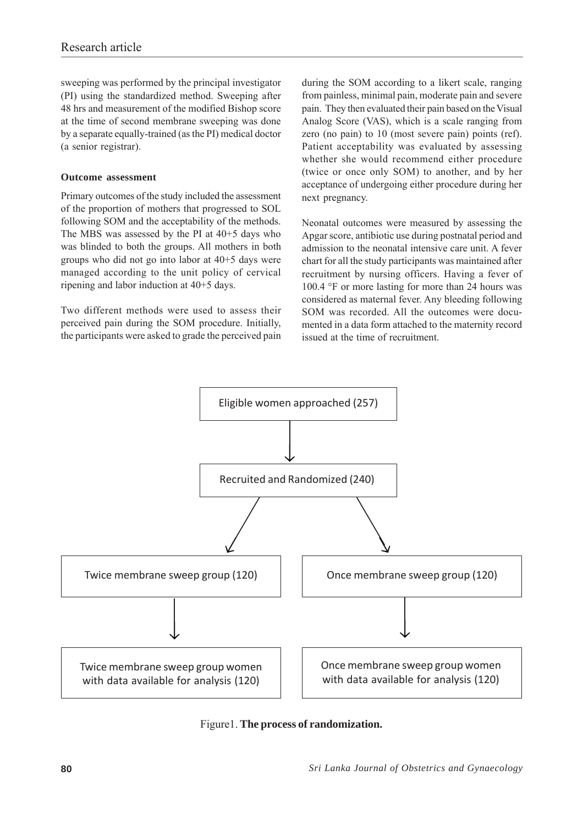sweeping was performed by the principal investigator (PI) using the standardized method. Sweeping after 48 hrs and measurement of the modified Bishop score at the time of second membrane sweeping was done by a separate equally-trained (as the PI) medical doctor (a senior registrar).

## **Outcome assessment**

Primary outcomes of the study included the assessment of the proportion of mothers that progressed to SOL following SOM and the acceptability of the methods. The MBS was assessed by the PI at 40+5 days who was blinded to both the groups. All mothers in both groups who did not go into labor at 40+5 days were managed according to the unit policy of cervical ripening and labor induction at 40+5 days.

Two different methods were used to assess their perceived pain during the SOM procedure. Initially, the participants were asked to grade the perceived pain

during the SOM according to a likert scale, ranging from painless, minimal pain, moderate pain and severe pain. They then evaluated their pain based on the Visual Analog Score (VAS), which is a scale ranging from zero (no pain) to 10 (most severe pain) points (ref). Patient acceptability was evaluated by assessing whether she would recommend either procedure (twice or once only SOM) to another, and by her acceptance of undergoing either procedure during her next pregnancy.

Neonatal outcomes were measured by assessing the Apgar score, antibiotic use during postnatal period and admission to the neonatal intensive care unit. A fever chart for all the study participants was maintained after recruitment by nursing officers. Having a fever of 100.4 °F or more lasting for more than 24 hours was considered as maternal fever. Any bleeding following SOM was recorded. All the outcomes were documented in a data form attached to the maternity record issued at the time of recruitment.



Figure1. **The process of randomization.**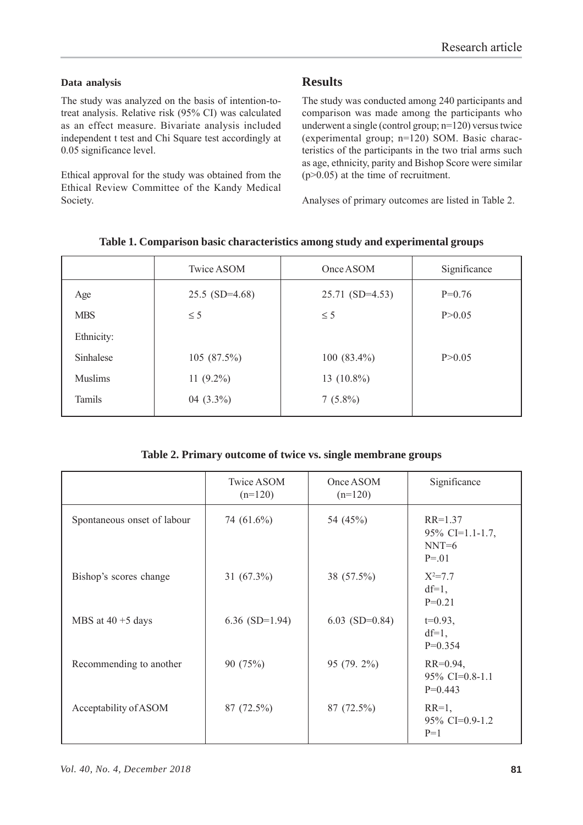## **Data analysis**

The study was analyzed on the basis of intention-totreat analysis. Relative risk (95% CI) was calculated as an effect measure. Bivariate analysis included independent t test and Chi Square test accordingly at 0.05 significance level.

Ethical approval for the study was obtained from the Ethical Review Committee of the Kandy Medical Society.

# **Results**

The study was conducted among 240 participants and comparison was made among the participants who underwent a single (control group; n=120) versus twice (experimental group; n=120) SOM. Basic characteristics of the participants in the two trial arms such as age, ethnicity, parity and Bishop Score were similar  $(p>0.05)$  at the time of recruitment.

Analyses of primary outcomes are listed in Table 2.

|                | Twice ASOM       | Once ASOM         | Significance |
|----------------|------------------|-------------------|--------------|
| Age            | $25.5$ (SD=4.68) | $25.71$ (SD=4.53) | $P=0.76$     |
| <b>MBS</b>     | $\leq$ 5         | $\leq$ 5          | P > 0.05     |
| Ethnicity:     |                  |                   |              |
| Sinhalese      | $105(87.5\%)$    | 100 (83.4%)       | P > 0.05     |
| <b>Muslims</b> | $11(9.2\%)$      | 13 $(10.8\%)$     |              |
| Tamils         | 04 $(3.3\%)$     | $7(5.8\%)$        |              |

## **Table 1. Comparison basic characteristics among study and experimental groups**

## **Table 2. Primary outcome of twice vs. single membrane groups**

|                             | Twice ASOM<br>$(n=120)$ | Once ASOM<br>$(n=120)$ | Significance                                        |
|-----------------------------|-------------------------|------------------------|-----------------------------------------------------|
| Spontaneous onset of labour | 74 (61.6%)              | 54 (45%)               | $RR=1.37$<br>95% CI=1.1-1.7,<br>$NNT=6$<br>$P = 01$ |
| Bishop's scores change      | 31 $(67.3\%)$           | 38 (57.5%)             | $X^2 = 7.7$<br>$df=1$ ,<br>$P=0.21$                 |
| MBS at $40 + 5$ days        | 6.36 $(SD=1.94)$        | $6.03$ (SD=0.84)       | $t=0.93$ ,<br>$df=1$ ,<br>$P=0.354$                 |
| Recommending to another     | 90 (75%)                | 95 (79. 2%)            | $RR=0.94,$<br>$95\%$ CI=0.8-1.1<br>$P=0.443$        |
| Acceptability of ASOM       | 87 (72.5%)              | 87 (72.5%)             | $RR=1,$<br>$95\%$ CI=0.9-1.2<br>$P=1$               |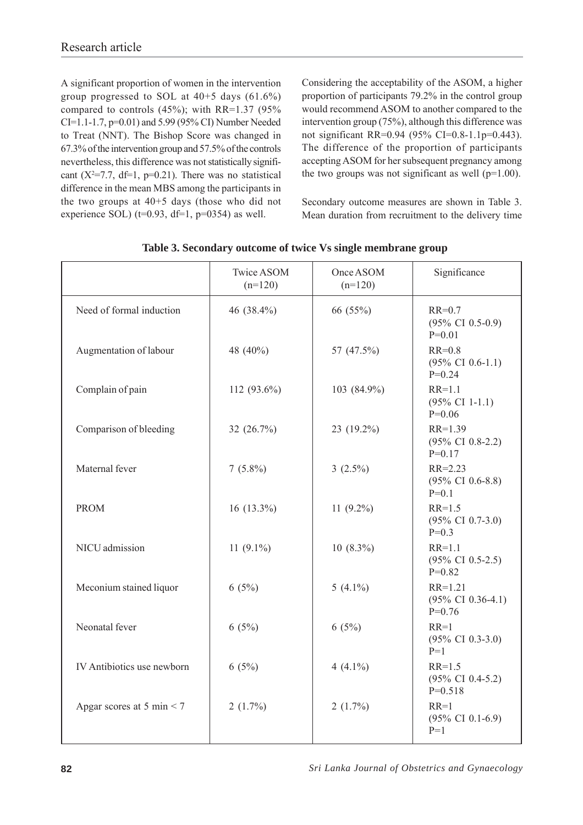A significant proportion of women in the intervention group progressed to SOL at 40+5 days (61.6%) compared to controls (45%); with RR=1.37 (95% CI=1.1-1.7, p=0.01) and 5.99 (95% CI) Number Needed to Treat (NNT). The Bishop Score was changed in 67.3% of the intervention group and 57.5% of the controls nevertheless, this difference was not statistically significant  $(X^2=7.7, df=1, p=0.21)$ . There was no statistical difference in the mean MBS among the participants in the two groups at 40+5 days (those who did not experience SOL) ( $t=0.93$ ,  $df=1$ ,  $p=0354$ ) as well.

Considering the acceptability of the ASOM, a higher proportion of participants 79.2% in the control group would recommend ASOM to another compared to the intervention group (75%), although this difference was not significant RR=0.94 (95% CI=0.8-1.1p=0.443). The difference of the proportion of participants accepting ASOM for her subsequent pregnancy among the two groups was not significant as well ( $p=1.00$ ).

Secondary outcome measures are shown in Table 3. Mean duration from recruitment to the delivery time

|                             | Twice ASOM<br>$(n=120)$ | Once ASOM<br>$(n=120)$ | Significance                                           |
|-----------------------------|-------------------------|------------------------|--------------------------------------------------------|
| Need of formal induction    | 46 (38.4%)              | 66 (55%)               | $RR=0.7$<br>$(95\% \text{ CI } 0.5-0.9)$<br>$P=0.01$   |
| Augmentation of labour      | 48 (40%)                | 57 (47.5%)             | $RR=0.8$<br>$(95\% \text{ CI } 0.6-1.1)$<br>$P=0.24$   |
| Complain of pain            | 112 (93.6%)             | 103 (84.9%)            | $RR=1.1$<br>$(95\% \text{ CI } 1-1.1)$<br>$P=0.06$     |
| Comparison of bleeding      | 32 (26.7%)              | 23 (19.2%)             | $RR=1.39$<br>$(95\% \text{ CI } 0.8-2.2)$<br>$P=0.17$  |
| Maternal fever              | $7(5.8\%)$              | 3 $(2.5\%)$            | $RR = 2.23$<br>$(95\% \text{ CI } 0.6-8.8)$<br>$P=0.1$ |
| <b>PROM</b>                 | $16(13.3\%)$            | 11 $(9.2\%)$           | $RR = 1.5$<br>$(95\% \text{ CI } 0.7-3.0)$<br>$P=0.3$  |
| NICU admission              | 11 $(9.1\%)$            | $10(8.3\%)$            | $RR=1.1$<br>$(95\% \text{ CI } 0.5-2.5)$<br>$P=0.82$   |
| Meconium stained liquor     | 6(5%)                   | 5 $(4.1\%)$            | $RR=1.21$<br>$(95\% \text{ CI } 0.36-4.1)$<br>$P=0.76$ |
| Neonatal fever              | 6(5%)                   | 6(5%)                  | $RR=1$<br>$(95\% \text{ CI } 0.3-3.0)$<br>$P=1$        |
| IV Antibiotics use newborn  | 6(5%)                   | 4 $(4.1\%)$            | $RR=1.5$<br>$(95\% \text{ CI } 0.4-5.2)$<br>$P=0.518$  |
| Apgar scores at 5 min $<$ 7 | $2(1.7\%)$              | $2(1.7\%)$             | $RR=1$<br>$(95\% \text{ CI } 0.1-6.9)$<br>$P=1$        |

## **Table 3. Secondary outcome of twice Vs single membrane group**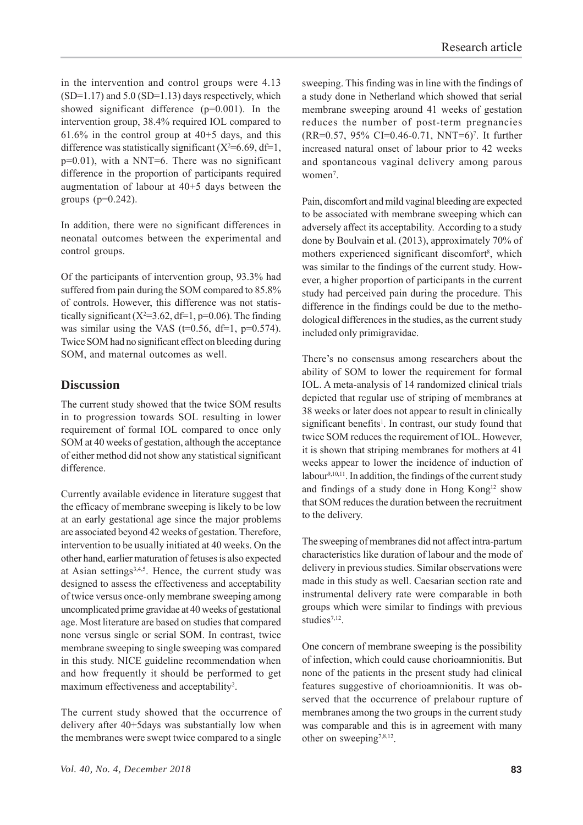in the intervention and control groups were 4.13  $(SD=1.17)$  and  $5.0$   $(SD=1.13)$  days respectively, which showed significant difference (p=0.001). In the intervention group, 38.4% required IOL compared to  $61.6\%$  in the control group at  $40+5$  days, and this difference was statistically significant  $(X^2=6.69, df=1,$ p=0.01), with a NNT=6. There was no significant difference in the proportion of participants required augmentation of labour at 40+5 days between the groups  $(p=0.242)$ .

In addition, there were no significant differences in neonatal outcomes between the experimental and control groups.

Of the participants of intervention group, 93.3% had suffered from pain during the SOM compared to 85.8% of controls. However, this difference was not statistically significant  $(X^2=3.62, df=1, p=0.06)$ . The finding was similar using the VAS (t=0.56, df=1,  $p=0.574$ ). Twice SOM had no significant effect on bleeding during SOM, and maternal outcomes as well.

# **Discussion**

The current study showed that the twice SOM results in to progression towards SOL resulting in lower requirement of formal IOL compared to once only SOM at 40 weeks of gestation, although the acceptance of either method did not show any statistical significant difference.

Currently available evidence in literature suggest that the efficacy of membrane sweeping is likely to be low at an early gestational age since the major problems are associated beyond 42 weeks of gestation. Therefore, intervention to be usually initiated at 40 weeks. On the other hand, earlier maturation of fetuses is also expected at Asian settings<sup>3,4,5</sup>. Hence, the current study was designed to assess the effectiveness and acceptability of twice versus once-only membrane sweeping among uncomplicated prime gravidae at 40 weeks of gestational age. Most literature are based on studies that compared none versus single or serial SOM. In contrast, twice membrane sweeping to single sweeping was compared in this study. NICE guideline recommendation when and how frequently it should be performed to get maximum effectiveness and acceptability<sup>2</sup>.

The current study showed that the occurrence of delivery after 40+5days was substantially low when the membranes were swept twice compared to a single

sweeping. This finding was in line with the findings of a study done in Netherland which showed that serial membrane sweeping around 41 weeks of gestation reduces the number of post-term pregnancies (RR=0.57, 95% CI=0.46-0.71, NNT=6)7 . It further increased natural onset of labour prior to 42 weeks and spontaneous vaginal delivery among parous women<sup>7</sup>.

Pain, discomfort and mild vaginal bleeding are expected to be associated with membrane sweeping which can adversely affect its acceptability. According to a study done by Boulvain et al. (2013), approximately 70% of mothers experienced significant discomfort<sup>8</sup>, which was similar to the findings of the current study. However, a higher proportion of participants in the current study had perceived pain during the procedure. This difference in the findings could be due to the methodological differences in the studies, as the current study included only primigravidae.

There's no consensus among researchers about the ability of SOM to lower the requirement for formal IOL. A meta-analysis of 14 randomized clinical trials depicted that regular use of striping of membranes at 38 weeks or later does not appear to result in clinically significant benefits<sup>1</sup>. In contrast, our study found that twice SOM reduces the requirement of IOL. However, it is shown that striping membranes for mothers at 41 weeks appear to lower the incidence of induction of labour<sup>9,10,11</sup>. In addition, the findings of the current study and findings of a study done in Hong Kong<sup>12</sup> show that SOM reduces the duration between the recruitment to the delivery.

The sweeping of membranes did not affect intra-partum characteristics like duration of labour and the mode of delivery in previous studies. Similar observations were made in this study as well. Caesarian section rate and instrumental delivery rate were comparable in both groups which were similar to findings with previous studies<sup>7,12</sup>.

One concern of membrane sweeping is the possibility of infection, which could cause chorioamnionitis. But none of the patients in the present study had clinical features suggestive of chorioamnionitis. It was observed that the occurrence of prelabour rupture of membranes among the two groups in the current study was comparable and this is in agreement with many other on sweeping<sup>7,8,12</sup>.